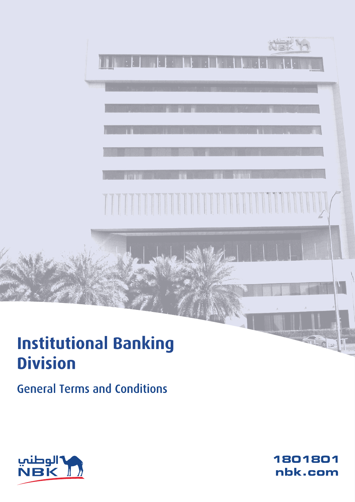# **Institutional Banking Division**

**General Terms and Conditions** 



1801801 nbk.com

 $C$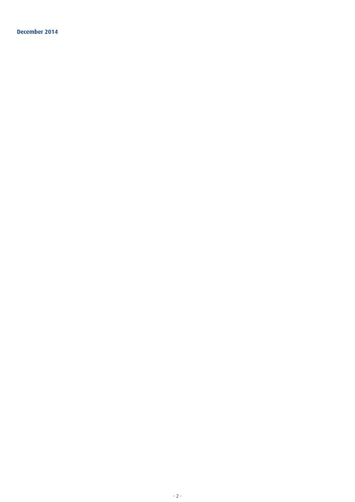**December 2014**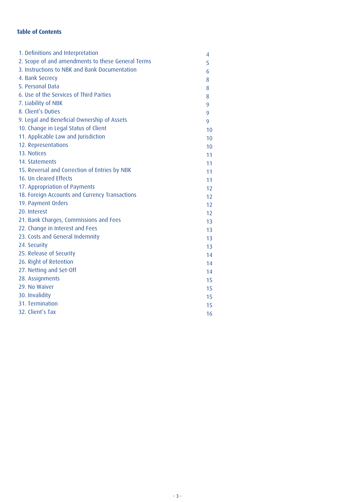# **Table of Contents**

| 1. Definitions and Interpretation                 | 4  |
|---------------------------------------------------|----|
| 2. Scope of and amendments to these General Terms | 5  |
| 3. Instructions to NBK and Bank Documentation     | 6  |
| 4. Bank Secrecy                                   | 8  |
| 5. Personal Data                                  | 8  |
| 6. Use of the Services of Third Parties           | 8  |
| 7. Liability of NBK                               | 9  |
| 8. Client's Duties                                | 9  |
| 9. Legal and Beneficial Ownership of Assets       | 9  |
| 10. Change in Legal Status of Client              | 10 |
| 11. Applicable Law and Jurisdiction               | 10 |
| 12. Representations                               | 10 |
| 13. Notices                                       | 11 |
| 14. Statements                                    | 11 |
| 15. Reversal and Correction of Entries by NBK     | 11 |
| 16. Un cleared Effects                            | 11 |
| 17. Appropriation of Payments                     | 12 |
| 18. Foreign Accounts and Currency Transactions    | 12 |
| 19. Payment Orders                                | 12 |
| 20. Interest                                      | 12 |
| 21. Bank Charges, Commissions and Fees            | 13 |
| 22. Change in Interest and Fees                   | 13 |
| 23. Costs and General Indemnity                   | 13 |
| 24. Security                                      | 13 |
| 25. Release of Security                           | 14 |
| 26. Right of Retention                            | 14 |
| 27. Netting and Set-Off                           | 14 |
| 28. Assignments                                   | 15 |
| 29. No Waiver                                     | 15 |
| 30. Invalidity                                    | 15 |
| 31. Termination                                   | 15 |
| 32. Client's Tax                                  | 16 |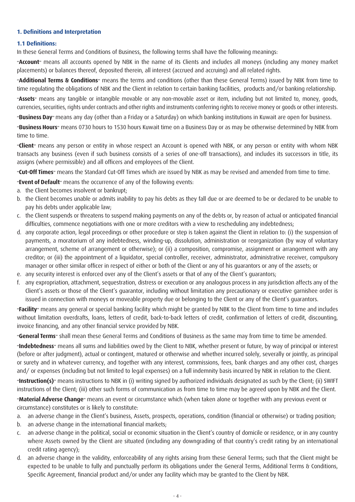# **1. Definitions and Interpretation**

# **1.1 Definitions:**

In these General Terms and Conditions of Business, the following terms shall have the following meanings:

**"Account"** means all accounts opened by NBK in the name of its Clients and includes all moneys (including any money market placements) or balances thereof, deposited therein, all interest (accrued and accruing) and all related rights.

**"Additional Terms & Conditions"** means the terms and conditions (other than these General Terms) issued by NBK from time to time regulating the obligations of NBK and the Client in relation to certain banking facilities, products and/or banking relationship.

**"Assets"** means any tangible or intangible movable or any non-movable asset or item, including but not limited to, money, goods, currencies, securities, rights under contracts and other rights and instruments conferring rights to receive money or goods or other interests.

**"Business Day"** means any day (other than a Friday or a Saturday) on which banking institutions in Kuwait are open for business.

**"Business Hours"** means 0730 hours to 1530 hours Kuwait time on a Business Day or as may be otherwise determined by NBK from time to time.

**"Client"** means any person or entity in whose respect an Account is opened with NBK, or any person or entity with whom NBK transacts any business (even if such business consists of a series of one-off transactions), and includes its successors in title, its assigns (where permissible) and all officers and employees of the Client.

**"Cut-Off Times"** means the Standard Cut-Off Times which are issued by NBK as may be revised and amended from time to time.

**"Event of Default"** means the occurrence of any of the following events:

- a. the Client becomes insolvent or bankrupt;
- b. the Client becomes unable or admits inability to pay his debts as they fall due or are deemed to be or declared to be unable to pay his debts under applicable law;
- c. the Client suspends or threatens to suspend making payments on any of the debts or, by reason of actual or anticipated financial difficulties, commence negotiations with one or more creditors with a view to rescheduling any indebtedness;
- d. any corporate action, legal proceedings or other procedure or step is taken against the Client in relation to: (i) the suspension of payments, a moratorium of any indebtedness, winding-up, dissolution, administration or reorganization (by way of voluntary arrangement, scheme of arrangement or otherwise); or (ii) a composition, compromise, assignment or arrangement with any creditor; or (iii) the appointment of a liquidator, special controller, receiver, administrator, administrative receiver, compulsory manager or other similar officer in respect of either or both of the Client or any of his guarantors or any of the assets; or
- e. any security interest is enforced over any of the Client's assets or that of any of the Client's guarantors;
- f. any expropriation, attachment, sequestration, distress or execution or any analogous process in any jurisdiction affects any of the Client's assets or those of the Client's guarantor, including without limitation any precautionary or executive garnishee order is issued in connection with moneys or moveable property due or belonging to the Client or any of the Client's guarantors.

**"Facility"** means any general or special banking facility which might be granted by NBK to the Client from time to time and includes without limitation overdrafts, loans, letters of credit, back-to-back letters of credit, confirmation of letters of credit, discounting, invoice financing, and any other financial service provided by NBK.

**"General Terms"** shall mean these General Terms and Conditions of Business as the same may from time to time be amended.

**"Indebtedness"** means all sums and liabilities owed by the Client to NBK, whether present or future, by way of principal or interest (before or after judgment), actual or contingent, matured or otherwise and whether incurred solely, severally or jointly, as principal or surety and in whatever currency, and together with any interest, commissions, fees, bank charges and any other cost, charges and/ or expenses (including but not limited to legal expenses) on a full indemnity basis incurred by NBK in relation to the Client.

**"Instruction(s)"** means instructions to NBK in (i) writing signed by authorized individuals designated as such by the Client; (ii) SWIFT instructions of the Client; (iii) other such forms of communication as from time to time may be agreed upon by NBK and the Client.

**"Material Adverse Change"** means an event or circumstance which (when taken alone or together with any previous event or circumstance) constitutes or is likely to constitute:

- a. an adverse change in the Client's business, Assets, prospects, operations, condition (financial or otherwise) or trading position;
- b. an adverse change in the international financial markets;
- c. an adverse change in the political, social or economic situation in the Client's country of domicile or residence, or in any country where Assets owned by the Client are situated (including any downgrading of that country's credit rating by an international credit rating agency);
- d. an adverse change in the validity, enforceability of any rights arising from these General Terms; such that the Client might be expected to be unable to fully and punctually perform its obligations under the General Terms, Additional Terms & Conditions, Specific Agreement, financial product and/or under any facility which may be granted to the Client by NBK.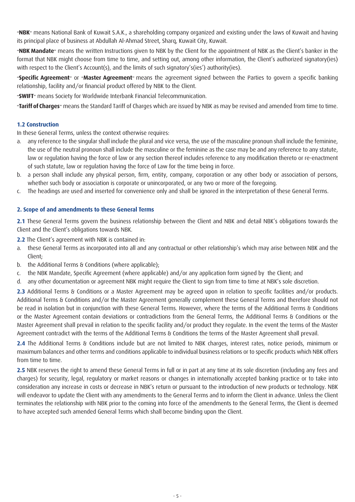**"NBK"** means National Bank of Kuwait S.A.K., a shareholding company organized and existing under the laws of Kuwait and having its principal place of business at Abdullah Al-Ahmad Street, Sharq, Kuwait City, Kuwait.

**"NBK Mandate"** means the written Instructions given to NBK by the Client for the appointment of NBK as the Client's banker in the format that NBK might choose from time to time, and setting out, among other information, the Client's authorized signatory(ies) with respect to the Client's Account(s), and the limits of such signatory's(ies') authority(ies).

**"Specific Agreement"** or **"Master Agreement"** means the agreement signed between the Parties to govern a specific banking relationship, facility and/or financial product offered by NBK to the Client.

**"SWIFT"** means Society for Worldwide Interbank Financial Telecommunication.

**"Tariff of Charges"** means the Standard Tariff of Charges which are issued by NBK as may be revised and amended from time to time.

# **1.2 Construction**

In these General Terms, unless the context otherwise requires:

- a. any reference to the singular shall include the plural and vice versa, the use of the masculine pronoun shall include the feminine, the use of the neutral pronoun shall include the masculine or the feminine as the case may be and any reference to any statute, law or regulation having the force of law or any section thereof includes reference to any modification thereto or re-enactment of such statute, law or regulation having the force of Law for the time being in force.
- b. a person shall include any physical person, firm, entity, company, corporation or any other body or association of persons, whether such body or association is corporate or unincorporated, or any two or more of the foregoing.
- c. The headings are used and inserted for convenience only and shall be ignored in the interpretation of these General Terms.

# **2. Scope of and amendments to these General Terms**

**2.1** These General Terms govern the business relationship between the Client and NBK and detail NBK's obligations towards the Client and the Client's obligations towards NBK.

**2.2** The Client's agreement with NBK is contained in:

- a. these General Terms as incorporated into all and any contractual or other relationship's which may arise between NBK and the Client;
- b. the Additional Terms & Conditions (where applicable);
- c. the NBK Mandate, Specific Agreement (where applicable) and/or any application form signed by the Client; and
- d. any other documentation or agreement NBK might require the Client to sign from time to time at NBK's sole discretion.

**2.3** Additional Terms & Conditions or a Master Agreement may be agreed upon in relation to specific facilities and/or products. Additional Terms & Conditions and/or the Master Agreement generally complement these General Terms and therefore should not be read in isolation but in conjunction with these General Terms. However, where the terms of the Additional Terms & Conditions or the Master Agreement contain deviations or contradictions from the General Terms, the Additional Terms & Conditions or the Master Agreement shall prevail in relation to the specific facility and/or product they regulate. In the event the terms of the Master Agreement contradict with the terms of the Additional Terms & Conditions the terms of the Master Agreement shall prevail.

**2.4** The Additional Terms & Conditions include but are not limited to NBK charges, interest rates, notice periods, minimum or maximum balances and other terms and conditions applicable to individual business relations or to specific products which NBK offers from time to time.

2.5 NBK reserves the right to amend these General Terms in full or in part at any time at its sole discretion (including any fees and charges) for security, legal, regulatory or market reasons or changes in internationally accepted banking practice or to take into consideration any increase in costs or decrease in NBK's return or pursuant to the introduction of new products or technology. NBK will endeavor to update the Client with any amendments to the General Terms and to inform the Client in advance. Unless the Client terminates the relationship with NBK prior to the coming into force of the amendments to the General Terms, the Client is deemed to have accepted such amended General Terms which shall become binding upon the Client.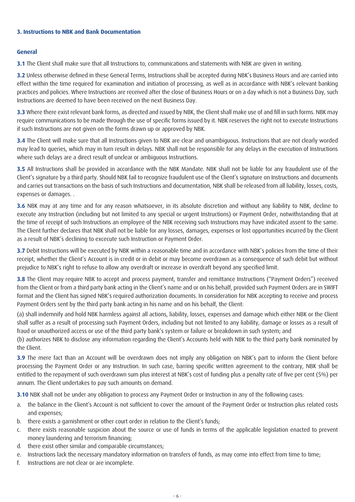# **3. Instructions to NBK and Bank Documentation**

# **General**

**3.1** The Client shall make sure that all Instructions to, communications and statements with NBK are given in writing.

**3.2** Unless otherwise defined in these General Terms, Instructions shall be accepted during NBK's Business Hours and are carried into effect within the time required for examination and initiation of processing, as well as in accordance with NBK's relevant banking practices and policies. Where Instructions are received after the close of Business Hours or on a day which is not a Business Day, such Instructions are deemed to have been received on the next Business Day.

**3.3** Where there exist relevant bank forms, as directed and issued by NBK, the Client shall make use of and fill in such forms. NBK may require communications to be made through the use of specific forms issued by it. NBK reserves the right not to execute Instructions if such Instructions are not given on the forms drawn up or approved by NBK.

**3.4** The Client will make sure that all Instructions given to NBK are clear and unambiguous. Instructions that are not clearly worded may lead to queries, which may in turn result in delays. NBK shall not be responsible for any delays in the execution of Instructions where such delays are a direct result of unclear or ambiguous Instructions.

**3.5** All Instructions shall be provided in accordance with the NBK Mandate. NBK shall not be liable for any fraudulent use of the Client's signature by a third party. Should NBK fail to recognize fraudulent use of the Client's signature on Instructions and documents and carries out transactions on the basis of such Instructions and documentation, NBK shall be released from all liability, losses, costs, expenses or damages. .

**3.6** NBK may at any time and for any reason whatsoever, in its absolute discretion and without any liability to NBK, decline to execute any Instruction (including but not limited to any special or urgent Instructions) or Payment Order, notwithstanding that at the time of receipt of such Instructions an employee of the NBK receiving such Instructions may have indicated assent to the same. The Client further declares that NBK shall not be liable for any losses, damages, expenses or lost opportunities incurred by the Client as a result of NBK's declining to excecute such Instruction or Payment Order.

**3.7** Debit Instructions will be executed by NBK within a reasonable time and in accordance with NBK's policies from the time of their receipt, whether the Client's Account is in credit or in debit or may become overdrawn as a consequence of such debit but without prejudice to NBK's right to refuse to allow any overdraft or increase in overdraft beyond any specified limit.

**3.8** The Client may require NBK to accept and process payment, transfer and remittance Instructions ("Payment Orders") received from the Client or from a third party bank acting in the Client's name and or on his behalf, provided such Payment Orders are in SWIFT format and the Client has signed NBK's required authorization documents. In consideration for NBK accepting to receive and process Payment Orders sent by the third party bank acting in his name and on his behalf, the Client:

(a) shall indemnify and hold NBK harmless against all actions, liability, losses, expenses and damage which either NBK or the Client shall suffer as a result of processing such Payment Orders, including but not limited to any liability, damage or losses as a result of fraud or unauthorized access or use of the third party bank's system or failure or breakdown in such system; and

(b) authorizes NBK to disclose any information regarding the Client's Accounts held with NBK to the third party bank nominated by the Client.

**3.9** The mere fact than an Account will be overdrawn does not imply any obligation on NBK's part to inform the Client before processing the Payment Order or any Instruction. In such case, barring specific written agreement to the contrary, NBK shall be entitled to the repayment of such overdrawn sum plus interest at NBK's cost of funding plus a penalty rate of five per cent (5%) per annum. The Client undertakes to pay such amounts on demand.

**3.10** NBK shall not be under any obligation to process any Payment Order or Instruction in any of the following cases:

- a. the balance in the Client's Account is not sufficient to cover the amount of the Payment Order or Instruction plus related costs and expenses;
- b. there exists a garnishment or other court order in relation to the Client's funds;
- c. there exists reasonable suspicion about the source or use of funds in terms of the applicable legislation enacted to prevent money laundering and terrorism financing;
- d. there exist other similar and comparable circumstances;
- e. Instructions lack the necessary mandatory information on transfers of funds, as may come into effect from time to time;
- f. Instructions are not clear or are incomplete.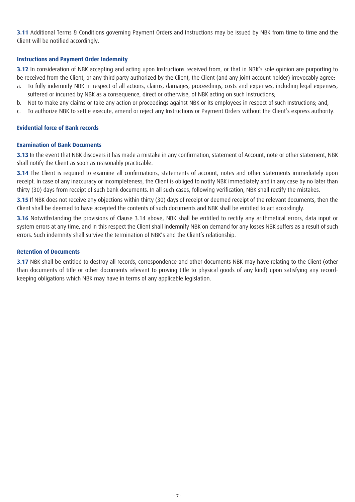**3.11** Additional Terms & Conditions governing Payment Orders and Instructions may be issued by NBK from time to time and the Client will be notified accordingly.

# **Instructions and Payment Order Indemnity**

**3.12** In consideration of NBK accepting and acting upon Instructions received from, or that in NBK's sole opinion are purporting to be received from the Client, or any third party authorized by the Client, the Client (and any joint account holder) irrevocably agree:

- a. To fully indemnify NBK in respect of all actions, claims, damages, proceedings, costs and expenses, including legal expenses, suffered or incurred by NBK as a consequence, direct or otherwise, of NBK acting on such Instructions;
- b. Not to make any claims or take any action or proceedings against NBK or its employees in respect of such Instructions; and,
- c. To authorize NBK to settle execute, amend or reject any Instructions or Payment Orders without the Client's express authority.

# **Evidential force of Bank records**

# **Examination of Bank Documents**

**3.13** In the event that NBK discovers it has made a mistake in any confirmation, statement of Account, note or other statement, NBK shall notify the Client as soon as reasonably practicable.

**3.14** The Client is required to examine all confirmations, statements of account, notes and other statements immediately upon receipt. In case of any inaccuracy or incompleteness, the Client is obliged to notify NBK immediately and in any case by no later than thirty (30) days from receipt of such bank documents. In all such cases, following verification, NBK shall rectify the mistakes.

**3.15** If NBK does not receive any objections within thirty (30) days of receipt or deemed receipt of the relevant documents, then the Client shall be deemed to have accepted the contents of such documents and NBK shall be entitled to act accordingly.

**3.16** Notwithstanding the provisions of Clause 3.14 above, NBK shall be entitled to rectify any arithmetical errors, data input or system errors at any time, and in this respect the Client shall indemnify NBK on demand for any losses NBK suffers as a result of such errors. Such indemnity shall survive the termination of NBK's and the Client's relationship.

# **Retention of Documents**

**3.17** NBK shall be entitled to destroy all records, correspondence and other documents NBK may have relating to the Client (other than documents of title or other documents relevant to proving title to physical goods of any kind) upon satisfying any recordkeeping obligations which NBK may have in terms of any applicable legislation.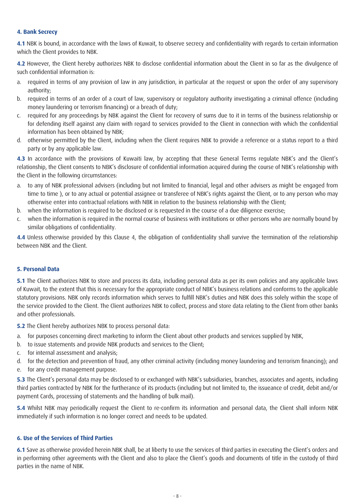# **4. Bank Secrecy**

**4.1** NBK is bound, in accordance with the laws of Kuwait, to observe secrecy and confidentiality with regards to certain information which the Client provides to NBK.

**4.2** However, the Client hereby authorizes NBK to disclose confidential information about the Client in so far as the divulgence of such confidential information is:

- a. required in terms of any provision of law in any jurisdiction, in particular at the request or upon the order of any supervisory authority;
- b. required in terms of an order of a court of law, supervisory or regulatory authority investigating a criminal offence (including money laundering or terrorism financing) or a breach of duty;
- c. required for any proceedings by NBK against the Client for recovery of sums due to it in terms of the business relationship or for defending itself against any claim with regard to services provided to the Client in connection with which the confidential information has been obtained by NBK;
- d. otherwise permitted by the Client, including when the Client requires NBK to provide a reference or a status report to a third party or by any applicable law.

**4.3** In accordance with the provisions of Kuwaiti law, by accepting that these General Terms regulate NBK's and the Client's relationship, the Client consents to NBK's disclosure of confidential information acquired during the course of NBK's relationship with the Client in the following circumstances:

- a. to any of NBK professional advisers (including but not limited to financial, legal and other advisers as might be engaged from time to time ), or to any actual or potential assignee or transferee of NBK's rights against the Client, or to any person who may otherwise enter into contractual relations with NBK in relation to the business relationship with the Client;
- b. when the information is required to be disclosed or is requested in the course of a due diligence exercise;
- c. when the information is required in the normal course of business with institutions or other persons who are normally bound by similar obligations of confidentiality.

**4.4** Unless otherwise provided by this Clause 4, the obligation of confidentiality shall survive the termination of the relationship between NBK and the Client.

# **5. Personal Data**

**5.1** The Client authorizes NBK to store and process its data, including personal data as per its own policies and any applicable laws of Kuwait, to the extent that this is necessary for the appropriate conduct of NBK's business relations and conforms to the applicable statutory provisions. NBK only records information which serves to fulfill NBK's duties and NBK does this solely within the scope of the service provided to the Client. The Client authorizes NBK to collect, process and store data relating to the Client from other banks and other professionals.

**5.2** The Client hereby authorizes NBK to process personal data:

- a. for purposes concerning direct marketing to inform the Client about other products and services supplied by NBK,
- b. to issue statements and provide NBK products and services to the Client;
- c. for internal assessment and analysis;
- d. for the detection and prevention of fraud, any other criminal activity (including money laundering and terrorism financing); and
- e. for any credit management purpose.

**5.3** The Client's personal data may be disclosed to or exchanged with NBK's subsidiaries, branches, associates and agents, including third parties contracted by NBK for the furtherance of its products (including but not limited to, the issueance of credit, debit and/or payment Cards, processing of statements and the handling of bulk mail).

**5.4** Whilst NBK may periodically request the Client to re-confirm its information and personal data, the Client shall inform NBK immediately if such information is no longer correct and needs to be updated.

# **6. Use of the Services of Third Parties**

**6.1** Save as otherwise provided herein NBK shall, be at liberty to use the services of third parties in executing the Client's orders and in performing other agreements with the Client and also to place the Client's goods and documents of title in the custody of third parties in the name of NBK.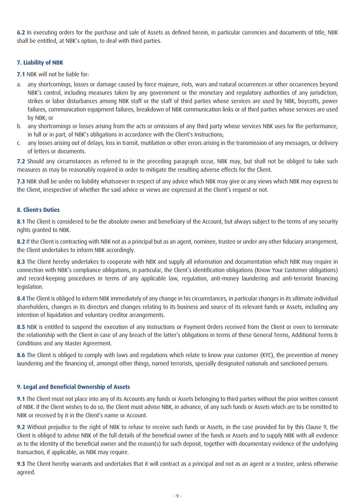**6.2** In executing orders for the purchase and sale of Assets as defined herein, in particular currencies and documents of title, NBK shall be entitled, at NBK's option, to deal with third parties.

# **7. Liability of NBK**

**7.1** NBK will not be liable for:

- a. any shortcomings, losses or damage caused by force majeure, riots, wars and natural occurrences or other occurrences beyond NBK's control, including measures taken by any government or the monetary and regulatory authorities of any jurisdiction, strikes or labor disturbances among NBK staff or the staff of third parties whose services are used by NBK, boycotts, power failures, communication equipment failures, breakdown of NBK communication links or of third parties whose services are used by NBK; or
- b. any shortcomings or losses arising from the acts or omissions of any third party whose services NBK uses for the performance, in full or in part, of NBK's obligations in accordance with the Client's Instructions;
- c. any losses arising out of delays, loss in transit, mutilation or other errors arising in the transmission of any messages, or delivery of letters or documents.

**7.2** Should any circumstances as referred to in the preceding paragraph occur, NBK may, but shall not be obliged to take such measures as may be reasonably required in order to mitigate the resulting adverse effects for the Client.

**7.3** NBK shall be under no liability whatsoever in respect of any advice which NBK may give or any views which NBK may express to the Client, irrespective of whether the said advice or views are expressed at the Client's request or not.

# **8. Client's Duties**

**8.1** The Client is considered to be the absolute owner and beneficiary of the Account, but always subject to the terms of any security rights granted to NBK.

8.2 If the Client is contracting with NBK not as a principal but as an agent, nominee, trustee or under any other fiduciary arrangement, the Client undertakes to inform NBK accordingly.

**8.3** The Client hereby undertakes to cooperate with NBK and supply all information and documentation which NBK may require in connection with NBK's compliance obligations, in particular, the Client's identification obligations (Know Your Customer obligations) and record-keeping procedures in terms of any applicable law, regulation, anti-money laundering and anti-terrorist financing legislation.

8.4 The Client is obliged to inform NBK immediately of any change in his circumstances, in particular changes in its ultimate individual shareholders, changes in its directors and changes relating to its business and source of its relevant funds or Assets, including any intention of liquidation and voluntary creditor arrangements.

8.5 NBK is entitled to suspend the execution of any Instructions or Payment Orders received from the Client or even to terminate the relationship with the Client in case of any breach of the latter's obligations in terms of these General Terms, Additional Terms & Conditions and any Master Agreement.

8.6 The Client is obliged to comply with laws and regulations which relate to know your customer (KYC), the prevention of money laundering and the financing of, amongst other things, named terrorists, specially designated nationals and sanctioned persons.

# **9. Legal and Beneficial Ownership of Assets**

**9.1** The Client must not place into any of its Accounts any funds or Assets belonging to third parties without the prior written consent of NBK. If the Client wishes to do so, the Client must advise NBK, in advance, of any such funds or Assets which are to be remitted to NBK or received by it in the Client's name or Account.

**9.2** Without prejudice to the right of NBK to refuse to receive such funds or Assets, in the case provided for by this Clause 9, the Client is obliged to advise NBK of the full details of the beneficial owner of the funds or Assets and to supply NBK with all evidence as to the identity of the beneficial owner and the reason(s) for such deposit, together with documentary evidence of the underlying transaction, if applicable, as NBK may require.

**9.3** The Client hereby warrants and undertakes that it will contract as a principal and not as an agent or a trustee, unless otherwise agreed.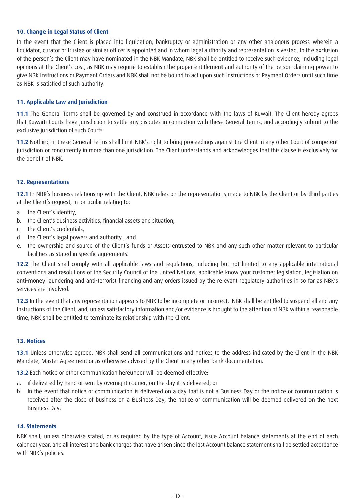### **10. Change in Legal Status of Client**

In the event that the Client is placed into liquidation, bankruptcy or administration or any other analogous process wherein a liquidator, curator or trustee or similar officer is appointed and in whom legal authority and representation is vested, to the exclusion of the person's the Client may have nominated in the NBK Mandate, NBK shall be entitled to receive such evidence, including legal opinions at the Client's cost, as NBK may require to establish the proper entitlement and authority of the person claiming power to give NBK Instructions or Payment Orders and NBK shall not be bound to act upon such Instructions or Payment Orders until such time as NBK is satisfied of such authority.

# **11. Applicable Law and Jurisdiction**

**11.1** The General Terms shall be governed by and construed in accordance with the laws of Kuwait. The Client hereby agrees that Kuwaiti Courts have jurisdiction to settle any disputes in connection with these General Terms, and accordingly submit to the exclusive jurisdiction of such Courts.

**11.2** Nothing in these General Terms shall limit NBK's right to bring proceedings against the Client in any other Court of competent jurisdiction or concurrently in more than one jurisdiction. The Client understands and acknowledges that this clause is exclusively for the benefit of NBK.

#### **12. Representations**

**12.1** In NBK's business relationship with the Client, NBK relies on the representations made to NBK by the Client or by third parties at the Client's request, in particular relating to:

- a. the Client's identity,
- b. the Client's business activities, financial assets and situation,
- c. the Client's credentials,
- d. the Client's legal powers and authority , and
- e. the ownership and source of the Client's funds or Assets entrusted to NBK and any such other matter relevant to particular facilities as stated in specific agreements.

12.2 The Client shall comply with all applicable laws and regulations, including but not limited to any applicable international conventions and resolutions of the Security Council of the United Nations, applicable know your customer legislation, legislation on anti-money laundering and anti-terrorist financing and any orders issued by the relevant regulatory authorities in so far as NBK's services are involved.

**12.3** In the event that any representation appears to NBK to be incomplete or incorrect, NBK shall be entitled to suspend all and any Instructions of the Client, and, unless satisfactory information and/or evidence is brought to the attention of NBK within a reasonable time, NBK shall be entitled to terminate its relationship with the Client.

#### **13. Notices**

**13.1** Unless otherwise agreed, NBK shall send all communications and notices to the address indicated by the Client in the NBK Mandate, Master Agreement or as otherwise advised by the Client in any other bank documentation.

**13.2** Each notice or other communication hereunder will be deemed effective:

- a. if delivered by hand or sent by overnight courier, on the day it is delivered; or
- b. In the event that notice or communication is delivered on a day that is not a Business Day or the notice or communication is received after the close of business on a Business Day, the notice or communication will be deemed delivered on the next Business Day.

#### **14. Statements**

NBK shall, unless otherwise stated, or as required by the type of Account, issue Account balance statements at the end of each calendar year, and all interest and bank charges that have arisen since the last Account balance statement shall be settled accordance with NBK's policies.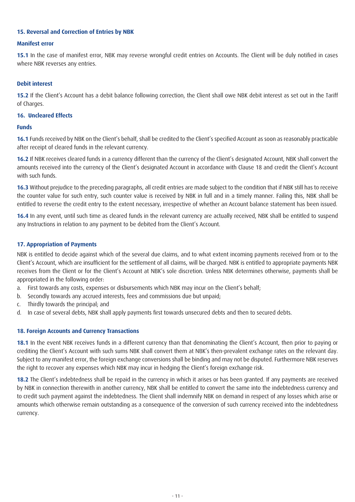# **15. Reversal and Correction of Entries by NBK**

# **Manifest error**

15.1 In the case of manifest error, NBK may reverse wrongful credit entries on Accounts. The Client will be duly notified in cases where NBK reverses any entries.

# **Debit interest**

**15.2** If the Client's Account has a debit balance following correction, the Client shall owe NBK debit interest as set out in the Tariff of Charges.

# **16. Uncleared Effects**

# **Funds**

**16.1** Funds received by NBK on the Client's behalf, shall be credited to the Client's specified Account as soon as reasonably practicable after receipt of cleared funds in the relevant currency.

**16.2** If NBK receives cleared funds in a currency different than the currency of the Client's designated Account, NBK shall convert the amounts received into the currency of the Client's designated Account in accordance with Clause 18 and credit the Client's Account with such funds.

**16.3** Without prejudice to the preceding paragraphs, all credit entries are made subject to the condition that if NBK still has to receive the counter value for such entry, such counter value is received by NBK in full and in a timely manner. Failing this, NBK shall be entitled to reverse the credit entry to the extent necessary, irrespective of whether an Account balance statement has been issued.

**16.4** In any event, until such time as cleared funds in the relevant currency are actually received, NBK shall be entitled to suspend any Instructions in relation to any payment to be debited from the Client's Account.

# **17. Appropriation of Payments**

NBK is entitled to decide against which of the several due claims, and to what extent incoming payments received from or to the Client's Account, which are insufficient for the settlement of all claims, will be charged. NBK is entitled to appropriate payments NBK receives from the Client or for the Client's Account at NBK's sole discretion. Unless NBK determines otherwise, payments shall be appropriated in the following order:

- a. First towards any costs, expenses or disbursements which NBK may incur on the Client's behalf;
- b. Secondly towards any accrued interests, fees and commissions due but unpaid;
- c. Thirdly towards the principal; and
- d. In case of several debts, NBK shall apply payments first towards unsecured debts and then to secured debts.

# **18. Foreign Accounts and Currency Transactions**

**18.1** In the event NBK receives funds in a different currency than that denominating the Client's Account, then prior to paying or crediting the Client's Account with such sums NBK shall convert them at NBK's then-prevalent exchange rates on the relevant day. Subject to any manifest error, the foreign exchange conversions shall be binding and may not be disputed. Furthermore NBK reserves the right to recover any expenses which NBK may incur in hedging the Client's foreign exchange risk.

**18.2** The Client's indebtedness shall be repaid in the currency in which it arises or has been granted. If any payments are received by NBK in connection therewith in another currency, NBK shall be entitled to convert the same into the indebtedness currency and to credit such payment against the indebtedness. The Client shall indemnify NBK on demand in respect of any losses which arise or amounts which otherwise remain outstanding as a consequence of the conversion of such currency received into the indebtedness currency.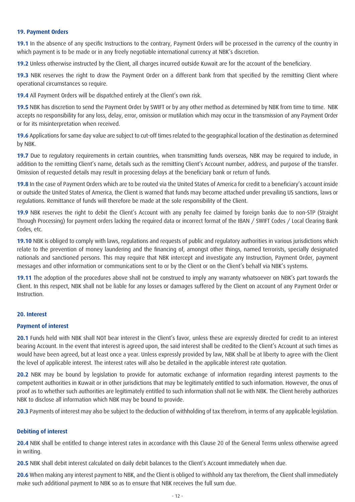#### **19. Payment Orders**

**19.1** In the absence of any specific Instructions to the contrary, Payment Orders will be processed in the currency of the country in which payment is to be made or in any freely negotiable international currency at NBK's discretion.

**19.2** Unless otherwise instructed by the Client, all charges incurred outside Kuwait are for the account of the beneficiary.

**19.3** NBK reserves the right to draw the Payment Order on a different bank from that specified by the remitting Client where operational circumstances so require.

**19.4** All Payment Orders will be dispatched entirely at the Client's own risk.

**19.5** NBK has discretion to send the Payment Order by SWIFT or by any other method as determined by NBK from time to time. NBK accepts no responsibility for any loss, delay, error, omission or mutilation which may occur in the transmission of any Payment Order or for its misinterpretation when received.

**19.6** Applications for same day value are subject to cut-off times related to the geographical location of the destination as determined by NBK.

**19.7** Due to regulatory requirements in certain countries, when transmitting funds overseas, NBK may be required to include, in addition to the remitting Client's name, details such as the remitting Client's Account number, address, and purpose of the transfer. Omission of requested details may result in processing delays at the beneficiary bank or return of funds.

**19.8** In the case of Payment Orders which are to be routed via the United States of America for credit to a beneficiary's account inside or outside the United States of America, the Client is warned that funds may become attached under prevailing US sanctions, laws or regulations. Remittance of funds will therefore be made at the sole responsibility of the Client.

**19.9** NBK reserves the right to debit the Client's Account with any penalty fee claimed by foreign banks due to non-STP (Straight Through Processing) for payment orders lacking the required data or incorrect format of the IBAN / SWIFT Codes / Local Clearing Bank Codes, etc.

**19.10** NBK is obliged to comply with laws, regulations and requests of public and regulatory authorities in various jurisdictions which relate to the prevention of money laundering and the financing of, amongst other things, named terrorists, specially designated nationals and sanctioned persons. This may require that NBK intercept and investigate any Instruction, Payment Order, payment messages and other information or communications sent to or by the Client or on the Client's behalf via NBK's systems.

**19.11** The adoption of the procedures above shall not be construed to imply any warranty whatsoever on NBK's part towards the Client. In this respect, NBK shall not be liable for any losses or damages suffered by the Client on account of any Payment Order or Instruction.

# **20. Interest**

#### **Payment of interest**

**20.1** Funds held with NBK shall NOT bear interest in the Client's favor, unless these are expressly directed for credit to an interest bearing Account. In the event that interest is agreed upon, the said interest shall be credited to the Client's Account at such times as would have been agreed, but at least once a year. Unless expressly provided by law, NBK shall be at liberty to agree with the Client the level of applicable interest. The interest rates will also be detailed in the applicable interest rate quotation.

**20.2** NBK may be bound by legislation to provide for automatic exchange of information regarding interest payments to the competent authorities in Kuwait or in other jurisdictions that may be legitimately entitled to such information. However, the onus of proof as to whether such authorities are legitimately entitled to such information shall not lie with NBK. The Client hereby authorizes NBK to disclose all information which NBK may be bound to provide.

**20.3** Payments of interest may also be subject to the deduction of withholding of tax therefrom, in terms of any applicable legislation.

#### **Debiting of interest**

**20.4** NBK shall be entitled to change interest rates in accordance with this Clause 20 of the General Terms unless otherwise agreed in writing.

20.5 NBK shall debit interest calculated on daily debit balances to the Client's Account immediately when due.

**20.6** When making any interest payment to NBK, and the Client is obliged to withhold any tax therefrom, the Client shall immediately make such additional payment to NBK so as to ensure that NBK receives the full sum due.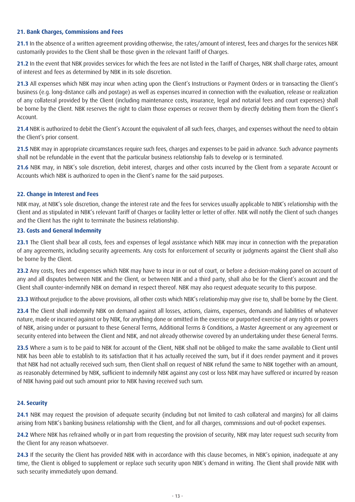# **21. Bank Charges, Commissions and Fees**

**21.1** In the absence of a written agreement providing otherwise, the rates/amount of interest, fees and charges for the services NBK customarily provides to the Client shall be those given in the relevant Tariff of Charges.

**21.2** In the event that NBK provides services for which the fees are not listed in the Tariff of Charges, NBK shall charge rates, amount of interest and fees as determined by NBK in its sole discretion.

**21.3** All expenses which NBK may incur when acting upon the Client's Instructions or Payment Orders or in transacting the Client's business (e.g. long-distance calls and postage) as well as expenses incurred in connection with the evaluation, release or realization of any collateral provided by the Client (including maintenance costs, insurance, legal and notarial fees and court expenses) shall be borne by the Client. NBK reserves the right to claim those expenses or recover them by directly debiting them from the Client's Account.

**21.4** NBK is authorized to debit the Client's Account the equivalent of all such fees, charges, and expenses without the need to obtain the Client's prior consent.

**21.5** NBK may in appropriate circumstances require such fees, charges and expenses to be paid in advance. Such advance payments shall not be refundable in the event that the particular business relationship fails to develop or is terminated.

**21.6** NBK may, in NBK's sole discretion, debit interest, charges and other costs incurred by the Client from a separate Account or Accounts which NBK is authorized to open in the Client's name for the said purposes.

# **22. Change in Interest and Fees**

NBK may, at NBK's sole discretion, change the interest rate and the fees for services usually applicable to NBK's relationship with the Client and as stipulated in NBK's relevant Tariff of Charges or facility letter or letter of offer. NBK will notify the Client of such changes and the Client has the right to terminate the business relationship.

# **23. Costs and General Indemnity**

**23.1** The Client shall bear all costs, fees and expenses of legal assistance which NBK may incur in connection with the preparation of any agreements, including security agreements. Any costs for enforcement of security or judgments against the Client shall also be borne by the Client.

**23.2** Any costs, fees and expenses which NBK may have to incur in or out of court, or before a decision-making panel on account of any and all disputes between NBK and the Client, or between NBK and a third party, shall also be for the Client's account and the Client shall counter-indemnify NBK on demand in respect thereof. NBK may also request adequate security to this purpose.

**23.3** Without prejudice to the above provisions, all other costs which NBK's relationship may give rise to, shall be borne by the Client.

**23.4** The Client shall indemnify NBK on demand against all losses, actions, claims, expenses, demands and liabilities of whatever nature, made or incurred against or by NBK, for anything done or omitted in the exercise or purported exercise of any rights or powers of NBK, arising under or pursuant to these General Terms, Additional Terms & Conditions, a Master Agreement or any agreement or security entered into between the Client and NBK, and not already otherwise covered by an undertaking under these General Terms.

**23.5** Where a sum is to be paid to NBK for account of the Client, NBK shall not be obliged to make the same available to Client until NBK has been able to establish to its satisfaction that it has actually received the sum, but if it does render payment and it proves that NBK had not actually received such sum, then Client shall on request of NBK refund the same to NBK together with an amount, as reasonably determined by NBK, sufficient to indemnify NBK against any cost or loss NBK may have suffered or incurred by reason of NBK having paid out such amount prior to NBK having received such sum.

# **24. Security**

**24.1** NBK may request the provision of adequate security (including but not limited to cash collateral and margins) for all claims arising from NBK's banking business relationship with the Client, and for all charges, commissions and out-of-pocket expenses.

**24.2** Where NBK has refrained wholly or in part from requesting the provision of security, NBK may later request such security from the Client for any reason whatsoever.

**24.3** If the security the Client has provided NBK with in accordance with this clause becomes, in NBK's opinion, inadequate at any time, the Client is obliged to supplement or replace such security upon NBK's demand in writing. The Client shall provide NBK with such security immediately upon demand.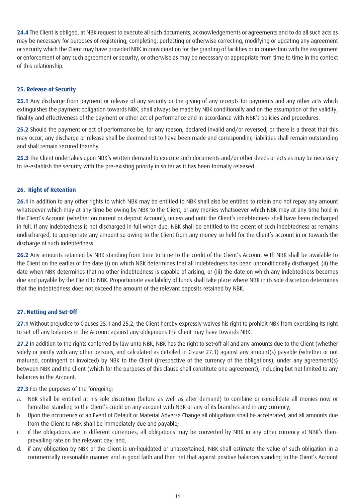**24.4** The Client is obliged, at NBK request to execute all such documents, acknowledgements or agreements and to do all such acts as may be necessary for purposes of registering, completing, perfecting or otherwise correcting, modifying or updating any agreement or security which the Client may have provided NBK in consideration for the granting of facilities or in connection with the assignment or enforcement of any such agreement or security, or otherwise as may be necessary or appropriate from time to time in the context of this relationship.

# **25. Release of Security**

**25.1** Any discharge from payment or release of any security or the giving of any receipts for payments and any other acts which extinguishes the payment obligation towards NBK, shall always be made by NBK conditionally and on the assumption of the validity, finality and effectiveness of the payment or other act of performance and in accordance with NBK's policies and procedures.

**25.2** Should the payment or act of performance be, for any reason, declared invalid and/or reversed, or there is a threat that this may occur, any discharge or release shall be deemed not to have been made and corresponding liabilities shall remain outstanding and shall remain secured thereby.

**25.3** The Client undertakes upon NBK's written demand to execute such documents and/or other deeds or acts as may be necessary to re-establish the security with the pre-existing priority in so far as it has been formally released.

# **26. Right of Retention**

**26.1** In addition to any other rights to which NBK may be entitled to NBK shall also be entitled to retain and not repay any amount whatsoever which may at any time be owing by NBK to the Client, or any monies whatsoever which NBK may at any time hold in the Client's Account (whether on current or deposit Account), unless and until the Client's indebtedness shall have been discharged in full. If any indebtedness is not discharged in full when due, NBK shall be entitled to the extent of such indebtedness as remains undischarged, to appropriate any amount so owing to the Client from any money so held for the Client's account in or towards the discharge of such indebtedness.

**26.2** Any amounts retained by NBK standing from time to time to the credit of the Client's Account with NBK shall be available to the Client on the earlier of the date (i) on which NBK determines that all indebtedness has been unconditionally discharged, (ii) the date when NBK determines that no other indebtedness is capable of arising, or (iii) the date on which any indebtedness becomes due and payable by the Client to NBK. Proportionate availability of funds shall take place where NBK in its sole discretion determines that the indebtedness does not exceed the amount of the relevant deposits retained by NBK.

# **27. Netting and Set-Off**

**27.1** Without prejudice to Clauses 25.1 and 25.2, the Client hereby expressly waives his right to prohibit NBK from exercising its right to set-off any balances in the Account against any obligations the Client may have towards NBK.

**27.2** In addition to the rights conferred by law unto NBK, NBK has the right to set-off all and any amounts due to the Client (whether solely or jointly with any other persons, and calculated as detailed in Clause 27.3) against any amount(s) payable (whether or not matured, contingent or invoiced) by NBK to the Client (irrespective of the currency of the obligations), under any agreement(s) between NBK and the Client (which for the purposes of this clause shall constitute one agreement), including but not limited to any balances in the Account.

27.3 For the purposes of the foregoing:

- a. NBK shall be entitled at his sole discretion (before as well as after demand) to combine or consolidate all monies now or hereafter standing to the Client's credit on any account with NBK or any of its branches and in any currency;
- b. Upon the occurrence of an Event of Default or Material Adverse Change all obligations shall be accelerated, and all amounts due from the Client to NBK shall be immediately due and payable;
- c. if the obligations are in different currencies, all obligations may be converted by NBK in any other currency at NBK's thenprevailing rate on the relevant day; and,
- d. if any obligation by NBK or the Client is un-liquidated or unascertained, NBK shall estimate the value of such obligation in a commercially reasonable manner and in good faith and then net that against positive balances standing to the Client's Account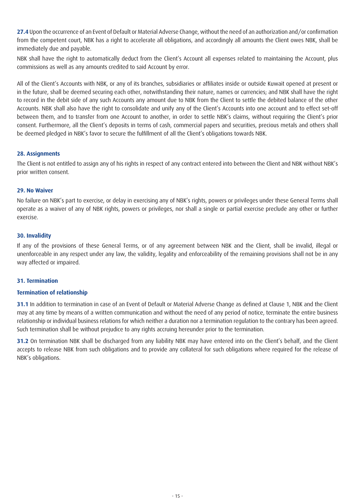**27.4** Upon the occurrence of an Event of Default or Material Adverse Change, without the need of an authorization and/or confirmation from the competent court, NBK has a right to accelerate all obligations, and accordingly all amounts the Client owes NBK, shall be immediately due and payable.

NBK shall have the right to automatically deduct from the Client's Account all expenses related to maintaining the Account, plus commissions as well as any amounts credited to said Account by error.

All of the Client's Accounts with NBK, or any of its branches, subsidiaries or affiliates inside or outside Kuwait opened at present or in the future, shall be deemed securing each other, notwithstanding their nature, names or currencies; and NBK shall have the right to record in the debit side of any such Accounts any amount due to NBK from the Client to settle the debited balance of the other Accounts. NBK shall also have the right to consolidate and unify any of the Client's Accounts into one account and to effect set-off between them, and to transfer from one Account to another, in order to settle NBK's claims, without requiring the Client's prior consent. Furthermore, all the Client's deposits in terms of cash, commercial papers and securities, precious metals and others shall be deemed pledged in NBK's favor to secure the fulfillment of all the Client's obligations towards NBK.

# **28. Assignments**

The Client is not entitled to assign any of his rights in respect of any contract entered into between the Client and NBK without NBK's prior written consent.

# **29. No Waiver**

No failure on NBK's part to exercise, or delay in exercising any of NBK's rights, powers or privileges under these General Terms shall operate as a waiver of any of NBK rights, powers or privileges, nor shall a single or partial exercise preclude any other or further exercise.

# **30. Invalidity**

If any of the provisions of these General Terms, or of any agreement between NBK and the Client, shall be invalid, illegal or unenforceable in any respect under any law, the validity, legality and enforceability of the remaining provisions shall not be in any way affected or impaired.

# **31. Termination**

# **Termination of relationship**

**31.1** In addition to termination in case of an Event of Default or Material Adverse Change as defined at Clause 1, NBK and the Client may at any time by means of a written communication and without the need of any period of notice, terminate the entire business relationship or individual business relations for which neither a duration nor a termination regulation to the contrary has been agreed. Such termination shall be without prejudice to any rights accruing hereunder prior to the termination.

**31.2** On termination NBK shall be discharged from any liability NBK may have entered into on the Client's behalf, and the Client accepts to release NBK from such obligations and to provide any collateral for such obligations where required for the release of NBK's obligations.